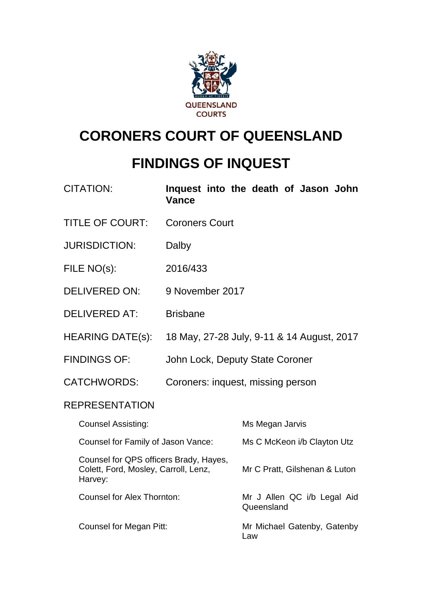

# **CORONERS COURT OF QUEENSLAND**

# **FINDINGS OF INQUEST**

| <b>CITATION:</b>                                                                          | Vance                 | Inquest into the death of Jason John       |
|-------------------------------------------------------------------------------------------|-----------------------|--------------------------------------------|
| <b>TITLE OF COURT:</b>                                                                    | <b>Coroners Court</b> |                                            |
| <b>JURISDICTION:</b>                                                                      | Dalby                 |                                            |
| FILE NO(s):                                                                               | 2016/433              |                                            |
| <b>DELIVERED ON:</b>                                                                      | 9 November 2017       |                                            |
| <b>DELIVERED AT:</b>                                                                      | <b>Brisbane</b>       |                                            |
| <b>HEARING DATE(s):</b>                                                                   |                       | 18 May, 27-28 July, 9-11 & 14 August, 2017 |
| <b>FINDINGS OF:</b>                                                                       |                       | John Lock, Deputy State Coroner            |
| <b>CATCHWORDS:</b>                                                                        |                       | Coroners: inquest, missing person          |
| <b>REPRESENTATION</b>                                                                     |                       |                                            |
| <b>Counsel Assisting:</b>                                                                 |                       | Ms Megan Jarvis                            |
| Counsel for Family of Jason Vance:                                                        |                       | Ms C McKeon i/b Clayton Utz                |
| Counsel for QPS officers Brady, Hayes,<br>Colett, Ford, Mosley, Carroll, Lenz,<br>Harvey: |                       | Mr C Pratt, Gilshenan & Luton              |
| <b>Counsel for Alex Thornton:</b>                                                         |                       | Mr J Allen QC i/b Legal Aid<br>Queensland  |
| <b>Counsel for Megan Pitt:</b>                                                            |                       | Mr Michael Gatenby, Gatenby<br>Law         |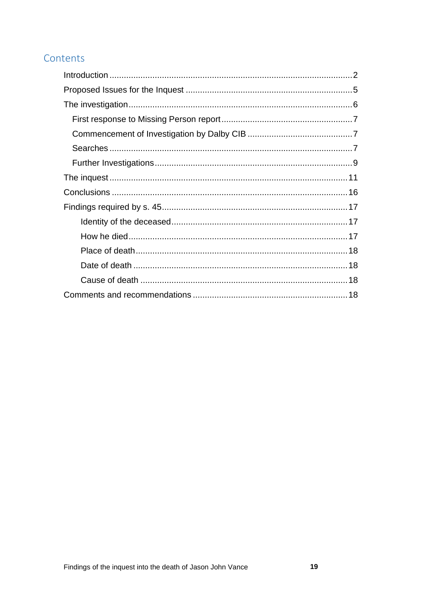## Contents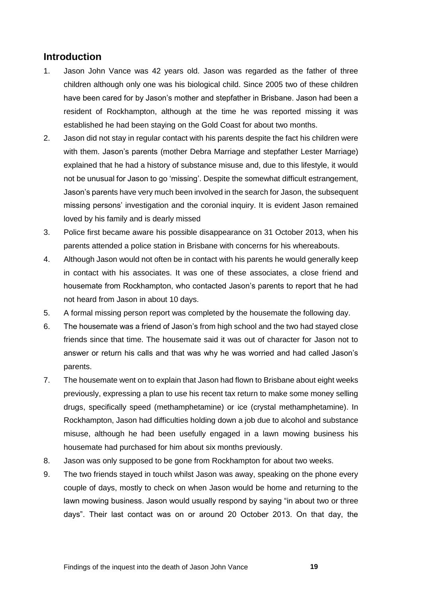## <span id="page-2-0"></span>**Introduction**

- 1. Jason John Vance was 42 years old. Jason was regarded as the father of three children although only one was his biological child. Since 2005 two of these children have been cared for by Jason's mother and stepfather in Brisbane. Jason had been a resident of Rockhampton, although at the time he was reported missing it was established he had been staying on the Gold Coast for about two months.
- 2. Jason did not stay in regular contact with his parents despite the fact his children were with them. Jason's parents (mother Debra Marriage and stepfather Lester Marriage) explained that he had a history of substance misuse and, due to this lifestyle, it would not be unusual for Jason to go 'missing'. Despite the somewhat difficult estrangement, Jason's parents have very much been involved in the search for Jason, the subsequent missing persons' investigation and the coronial inquiry. It is evident Jason remained loved by his family and is dearly missed
- 3. Police first became aware his possible disappearance on 31 October 2013, when his parents attended a police station in Brisbane with concerns for his whereabouts.
- 4. Although Jason would not often be in contact with his parents he would generally keep in contact with his associates. It was one of these associates, a close friend and housemate from Rockhampton, who contacted Jason's parents to report that he had not heard from Jason in about 10 days.
- 5. A formal missing person report was completed by the housemate the following day.
- 6. The housemate was a friend of Jason's from high school and the two had stayed close friends since that time. The housemate said it was out of character for Jason not to answer or return his calls and that was why he was worried and had called Jason's parents.
- 7. The housemate went on to explain that Jason had flown to Brisbane about eight weeks previously, expressing a plan to use his recent tax return to make some money selling drugs, specifically speed (methamphetamine) or ice (crystal methamphetamine). In Rockhampton, Jason had difficulties holding down a job due to alcohol and substance misuse, although he had been usefully engaged in a lawn mowing business his housemate had purchased for him about six months previously.
- 8. Jason was only supposed to be gone from Rockhampton for about two weeks.
- 9. The two friends stayed in touch whilst Jason was away, speaking on the phone every couple of days, mostly to check on when Jason would be home and returning to the lawn mowing business. Jason would usually respond by saying "in about two or three days". Their last contact was on or around 20 October 2013. On that day, the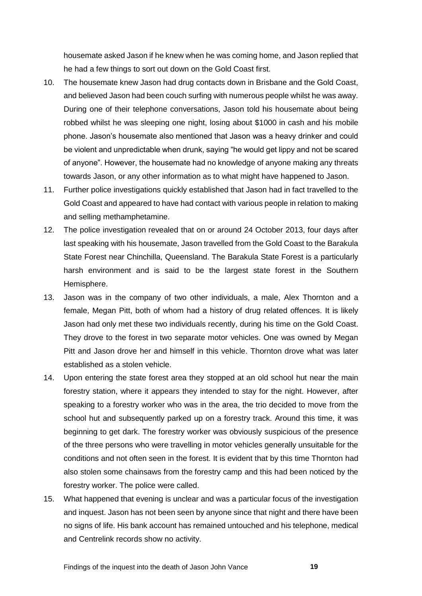housemate asked Jason if he knew when he was coming home, and Jason replied that he had a few things to sort out down on the Gold Coast first.

- 10. The housemate knew Jason had drug contacts down in Brisbane and the Gold Coast, and believed Jason had been couch surfing with numerous people whilst he was away. During one of their telephone conversations, Jason told his housemate about being robbed whilst he was sleeping one night, losing about \$1000 in cash and his mobile phone. Jason's housemate also mentioned that Jason was a heavy drinker and could be violent and unpredictable when drunk, saying "he would get lippy and not be scared of anyone". However, the housemate had no knowledge of anyone making any threats towards Jason, or any other information as to what might have happened to Jason.
- 11. Further police investigations quickly established that Jason had in fact travelled to the Gold Coast and appeared to have had contact with various people in relation to making and selling methamphetamine.
- 12. The police investigation revealed that on or around 24 October 2013, four days after last speaking with his housemate, Jason travelled from the Gold Coast to the Barakula State Forest near Chinchilla, Queensland. The Barakula State Forest is a particularly harsh environment and is said to be the largest state forest in the Southern Hemisphere.
- 13. Jason was in the company of two other individuals, a male, Alex Thornton and a female, Megan Pitt, both of whom had a history of drug related offences. It is likely Jason had only met these two individuals recently, during his time on the Gold Coast. They drove to the forest in two separate motor vehicles. One was owned by Megan Pitt and Jason drove her and himself in this vehicle. Thornton drove what was later established as a stolen vehicle.
- 14. Upon entering the state forest area they stopped at an old school hut near the main forestry station, where it appears they intended to stay for the night. However, after speaking to a forestry worker who was in the area, the trio decided to move from the school hut and subsequently parked up on a forestry track. Around this time, it was beginning to get dark. The forestry worker was obviously suspicious of the presence of the three persons who were travelling in motor vehicles generally unsuitable for the conditions and not often seen in the forest. It is evident that by this time Thornton had also stolen some chainsaws from the forestry camp and this had been noticed by the forestry worker. The police were called.
- 15. What happened that evening is unclear and was a particular focus of the investigation and inquest. Jason has not been seen by anyone since that night and there have been no signs of life. His bank account has remained untouched and his telephone, medical and Centrelink records show no activity.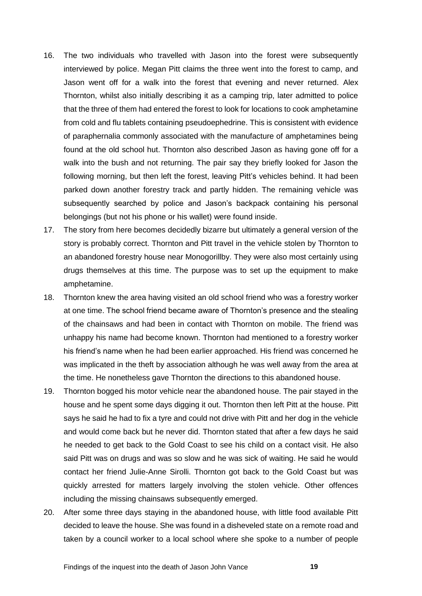- 16. The two individuals who travelled with Jason into the forest were subsequently interviewed by police. Megan Pitt claims the three went into the forest to camp, and Jason went off for a walk into the forest that evening and never returned. Alex Thornton, whilst also initially describing it as a camping trip, later admitted to police that the three of them had entered the forest to look for locations to cook amphetamine from cold and flu tablets containing pseudoephedrine. This is consistent with evidence of paraphernalia commonly associated with the manufacture of amphetamines being found at the old school hut. Thornton also described Jason as having gone off for a walk into the bush and not returning. The pair say they briefly looked for Jason the following morning, but then left the forest, leaving Pitt's vehicles behind. It had been parked down another forestry track and partly hidden. The remaining vehicle was subsequently searched by police and Jason's backpack containing his personal belongings (but not his phone or his wallet) were found inside.
- 17. The story from here becomes decidedly bizarre but ultimately a general version of the story is probably correct. Thornton and Pitt travel in the vehicle stolen by Thornton to an abandoned forestry house near Monogorillby. They were also most certainly using drugs themselves at this time. The purpose was to set up the equipment to make amphetamine.
- 18. Thornton knew the area having visited an old school friend who was a forestry worker at one time. The school friend became aware of Thornton's presence and the stealing of the chainsaws and had been in contact with Thornton on mobile. The friend was unhappy his name had become known. Thornton had mentioned to a forestry worker his friend's name when he had been earlier approached. His friend was concerned he was implicated in the theft by association although he was well away from the area at the time. He nonetheless gave Thornton the directions to this abandoned house.
- 19. Thornton bogged his motor vehicle near the abandoned house. The pair stayed in the house and he spent some days digging it out. Thornton then left Pitt at the house. Pitt says he said he had to fix a tyre and could not drive with Pitt and her dog in the vehicle and would come back but he never did. Thornton stated that after a few days he said he needed to get back to the Gold Coast to see his child on a contact visit. He also said Pitt was on drugs and was so slow and he was sick of waiting. He said he would contact her friend Julie-Anne Sirolli. Thornton got back to the Gold Coast but was quickly arrested for matters largely involving the stolen vehicle. Other offences including the missing chainsaws subsequently emerged.
- 20. After some three days staying in the abandoned house, with little food available Pitt decided to leave the house. She was found in a disheveled state on a remote road and taken by a council worker to a local school where she spoke to a number of people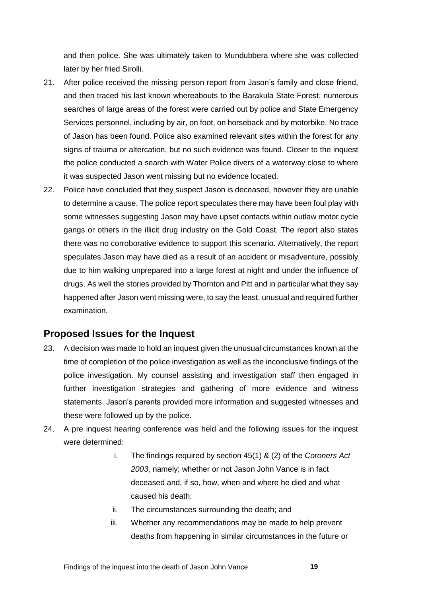and then police. She was ultimately taken to Mundubbera where she was collected later by her fried Sirolli.

- 21. After police received the missing person report from Jason's family and close friend, and then traced his last known whereabouts to the Barakula State Forest, numerous searches of large areas of the forest were carried out by police and State Emergency Services personnel, including by air, on foot, on horseback and by motorbike. No trace of Jason has been found. Police also examined relevant sites within the forest for any signs of trauma or altercation, but no such evidence was found. Closer to the inquest the police conducted a search with Water Police divers of a waterway close to where it was suspected Jason went missing but no evidence located.
- 22. Police have concluded that they suspect Jason is deceased, however they are unable to determine a cause. The police report speculates there may have been foul play with some witnesses suggesting Jason may have upset contacts within outlaw motor cycle gangs or others in the illicit drug industry on the Gold Coast. The report also states there was no corroborative evidence to support this scenario. Alternatively, the report speculates Jason may have died as a result of an accident or misadventure, possibly due to him walking unprepared into a large forest at night and under the influence of drugs. As well the stories provided by Thornton and Pitt and in particular what they say happened after Jason went missing were, to say the least, unusual and required further examination.

## <span id="page-5-0"></span>**Proposed Issues for the Inquest**

- 23. A decision was made to hold an inquest given the unusual circumstances known at the time of completion of the police investigation as well as the inconclusive findings of the police investigation. My counsel assisting and investigation staff then engaged in further investigation strategies and gathering of more evidence and witness statements. Jason's parents provided more information and suggested witnesses and these were followed up by the police.
- 24. A pre inquest hearing conference was held and the following issues for the inquest were determined:
	- i. The findings required by section 45(1) & (2) of the *Coroners Act 2003*, namely; whether or not Jason John Vance is in fact deceased and, if so, how, when and where he died and what caused his death;
	- ii. The circumstances surrounding the death; and
	- iii. Whether any recommendations may be made to help prevent deaths from happening in similar circumstances in the future or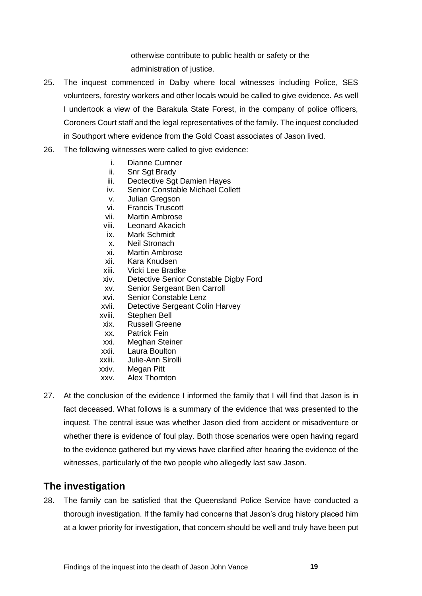otherwise contribute to public health or safety or the administration of justice.

- 25. The inquest commenced in Dalby where local witnesses including Police, SES volunteers, forestry workers and other locals would be called to give evidence. As well I undertook a view of the Barakula State Forest, in the company of police officers, Coroners Court staff and the legal representatives of the family. The inquest concluded in Southport where evidence from the Gold Coast associates of Jason lived.
- 26. The following witnesses were called to give evidence:
	- i. Dianne Cumner
	- ii. Snr Sgt Brady
	- iii. Dectective Sgt Damien Hayes
	- iv. Senior Constable Michael Collett
	- v. Julian Gregson
	- vi. Francis Truscott
	- vii. Martin Ambrose
	- viii. Leonard Akacich
	- ix. Mark Schmidt
	- x. Neil Stronach
	- xi. Martin Ambrose
	- xii. Kara Knudsen
	- xiii. Vicki Lee Bradke
	- xiv. Detective Senior Constable Digby Ford
	- xv. Senior Sergeant Ben Carroll
	- xvi. Senior Constable Lenz
	- xvii. Detective Sergeant Colin Harvey
	- xviii. Stephen Bell
	- xix. Russell Greene
	- xx. Patrick Fein
	- xxi. Meghan Steiner
	- xxii. Laura Boulton
	- xxiii. Julie-Ann Sirolli
	- xxiv. Megan Pitt
	- xxv. Alex Thornton
- 27. At the conclusion of the evidence I informed the family that I will find that Jason is in fact deceased. What follows is a summary of the evidence that was presented to the inquest. The central issue was whether Jason died from accident or misadventure or whether there is evidence of foul play. Both those scenarios were open having regard to the evidence gathered but my views have clarified after hearing the evidence of the witnesses, particularly of the two people who allegedly last saw Jason.

## <span id="page-6-0"></span>**The investigation**

28. The family can be satisfied that the Queensland Police Service have conducted a thorough investigation. If the family had concerns that Jason's drug history placed him at a lower priority for investigation, that concern should be well and truly have been put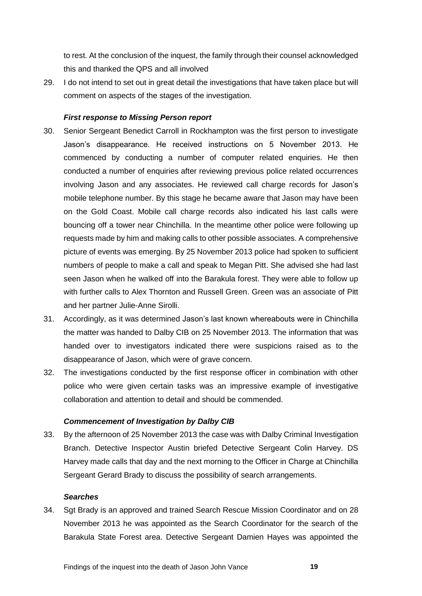to rest. At the conclusion of the inquest, the family through their counsel acknowledged this and thanked the QPS and all involved

29. I do not intend to set out in great detail the investigations that have taken place but will comment on aspects of the stages of the investigation.

#### <span id="page-7-0"></span>*First response to Missing Person report*

- 30. Senior Sergeant Benedict Carroll in Rockhampton was the first person to investigate Jason's disappearance. He received instructions on 5 November 2013. He commenced by conducting a number of computer related enquiries. He then conducted a number of enquiries after reviewing previous police related occurrences involving Jason and any associates. He reviewed call charge records for Jason's mobile telephone number. By this stage he became aware that Jason may have been on the Gold Coast. Mobile call charge records also indicated his last calls were bouncing off a tower near Chinchilla. In the meantime other police were following up requests made by him and making calls to other possible associates. A comprehensive picture of events was emerging. By 25 November 2013 police had spoken to sufficient numbers of people to make a call and speak to Megan Pitt. She advised she had last seen Jason when he walked off into the Barakula forest. They were able to follow up with further calls to Alex Thornton and Russell Green. Green was an associate of Pitt and her partner Julie-Anne Sirolli.
- 31. Accordingly, as it was determined Jason's last known whereabouts were in Chinchilla the matter was handed to Dalby CIB on 25 November 2013. The information that was handed over to investigators indicated there were suspicions raised as to the disappearance of Jason, which were of grave concern.
- 32. The investigations conducted by the first response officer in combination with other police who were given certain tasks was an impressive example of investigative collaboration and attention to detail and should be commended.

#### <span id="page-7-1"></span>*Commencement of Investigation by Dalby CIB*

33. By the afternoon of 25 November 2013 the case was with Dalby Criminal Investigation Branch. Detective Inspector Austin briefed Detective Sergeant Colin Harvey. DS Harvey made calls that day and the next morning to the Officer in Charge at Chinchilla Sergeant Gerard Brady to discuss the possibility of search arrangements.

#### <span id="page-7-2"></span>*Searches*

34. Sgt Brady is an approved and trained Search Rescue Mission Coordinator and on 28 November 2013 he was appointed as the Search Coordinator for the search of the Barakula State Forest area. Detective Sergeant Damien Hayes was appointed the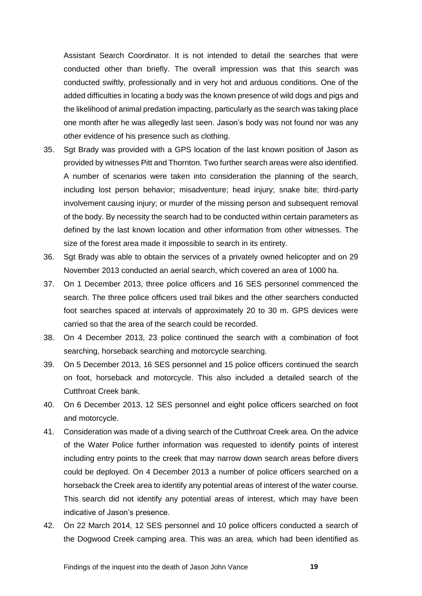Assistant Search Coordinator. It is not intended to detail the searches that were conducted other than briefly. The overall impression was that this search was conducted swiftly, professionally and in very hot and arduous conditions. One of the added difficulties in locating a body was the known presence of wild dogs and pigs and the likelihood of animal predation impacting, particularly as the search was taking place one month after he was allegedly last seen. Jason's body was not found nor was any other evidence of his presence such as clothing.

- 35. Sgt Brady was provided with a GPS location of the last known position of Jason as provided by witnesses Pitt and Thornton. Two further search areas were also identified. A number of scenarios were taken into consideration the planning of the search, including lost person behavior; misadventure; head injury; snake bite; third-party involvement causing injury; or murder of the missing person and subsequent removal of the body. By necessity the search had to be conducted within certain parameters as defined by the last known location and other information from other witnesses. The size of the forest area made it impossible to search in its entirety.
- 36. Sgt Brady was able to obtain the services of a privately owned helicopter and on 29 November 2013 conducted an aerial search, which covered an area of 1000 ha.
- 37. On 1 December 2013, three police officers and 16 SES personnel commenced the search. The three police officers used trail bikes and the other searchers conducted foot searches spaced at intervals of approximately 20 to 30 m. GPS devices were carried so that the area of the search could be recorded.
- 38. On 4 December 2013, 23 police continued the search with a combination of foot searching, horseback searching and motorcycle searching.
- 39. On 5 December 2013, 16 SES personnel and 15 police officers continued the search on foot, horseback and motorcycle. This also included a detailed search of the Cutthroat Creek bank.
- 40. On 6 December 2013, 12 SES personnel and eight police officers searched on foot and motorcycle.
- 41. Consideration was made of a diving search of the Cutthroat Creek area. On the advice of the Water Police further information was requested to identify points of interest including entry points to the creek that may narrow down search areas before divers could be deployed. On 4 December 2013 a number of police officers searched on a horseback the Creek area to identify any potential areas of interest of the water course. This search did not identify any potential areas of interest, which may have been indicative of Jason's presence.
- 42. On 22 March 2014, 12 SES personnel and 10 police officers conducted a search of the Dogwood Creek camping area. This was an area, which had been identified as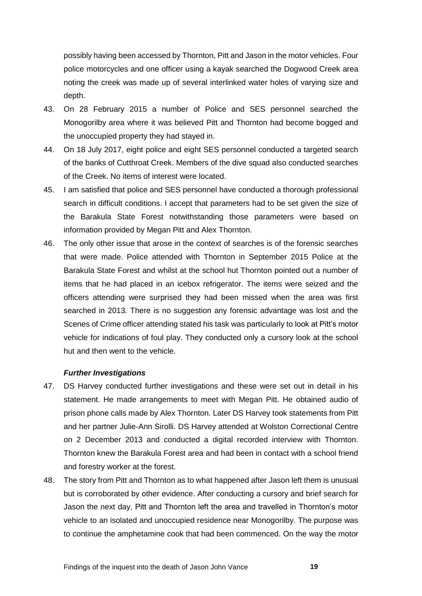possibly having been accessed by Thornton, Pitt and Jason in the motor vehicles. Four police motorcycles and one officer using a kayak searched the Dogwood Creek area noting the creek was made up of several interlinked water holes of varying size and depth.

- 43. On 28 February 2015 a number of Police and SES personnel searched the Monogorilby area where it was believed Pitt and Thornton had become bogged and the unoccupied property they had stayed in.
- 44. On 18 July 2017, eight police and eight SES personnel conducted a targeted search of the banks of Cutthroat Creek. Members of the dive squad also conducted searches of the Creek. No items of interest were located.
- 45. I am satisfied that police and SES personnel have conducted a thorough professional search in difficult conditions. I accept that parameters had to be set given the size of the Barakula State Forest notwithstanding those parameters were based on information provided by Megan Pitt and Alex Thornton.
- 46. The only other issue that arose in the context of searches is of the forensic searches that were made. Police attended with Thornton in September 2015 Police at the Barakula State Forest and whilst at the school hut Thornton pointed out a number of items that he had placed in an icebox refrigerator. The items were seized and the officers attending were surprised they had been missed when the area was first searched in 2013. There is no suggestion any forensic advantage was lost and the Scenes of Crime officer attending stated his task was particularly to look at Pitt's motor vehicle for indications of foul play. They conducted only a cursory look at the school hut and then went to the vehicle.

#### <span id="page-9-0"></span>*Further Investigations*

- 47. DS Harvey conducted further investigations and these were set out in detail in his statement. He made arrangements to meet with Megan Pitt. He obtained audio of prison phone calls made by Alex Thornton. Later DS Harvey took statements from Pitt and her partner Julie-Ann Sirolli. DS Harvey attended at Wolston Correctional Centre on 2 December 2013 and conducted a digital recorded interview with Thornton. Thornton knew the Barakula Forest area and had been in contact with a school friend and forestry worker at the forest.
- 48. The story from Pitt and Thornton as to what happened after Jason left them is unusual but is corroborated by other evidence. After conducting a cursory and brief search for Jason the next day, Pitt and Thornton left the area and travelled in Thornton's motor vehicle to an isolated and unoccupied residence near Monogorilby. The purpose was to continue the amphetamine cook that had been commenced. On the way the motor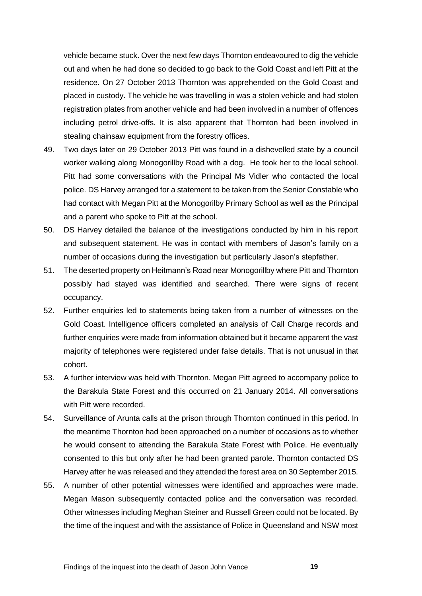vehicle became stuck. Over the next few days Thornton endeavoured to dig the vehicle out and when he had done so decided to go back to the Gold Coast and left Pitt at the residence. On 27 October 2013 Thornton was apprehended on the Gold Coast and placed in custody. The vehicle he was travelling in was a stolen vehicle and had stolen registration plates from another vehicle and had been involved in a number of offences including petrol drive-offs. It is also apparent that Thornton had been involved in stealing chainsaw equipment from the forestry offices.

- 49. Two days later on 29 October 2013 Pitt was found in a dishevelled state by a council worker walking along Monogorillby Road with a dog. He took her to the local school. Pitt had some conversations with the Principal Ms Vidler who contacted the local police. DS Harvey arranged for a statement to be taken from the Senior Constable who had contact with Megan Pitt at the Monogorilby Primary School as well as the Principal and a parent who spoke to Pitt at the school.
- 50. DS Harvey detailed the balance of the investigations conducted by him in his report and subsequent statement. He was in contact with members of Jason's family on a number of occasions during the investigation but particularly Jason's stepfather.
- 51. The deserted property on Heitmann's Road near Monogorillby where Pitt and Thornton possibly had stayed was identified and searched. There were signs of recent occupancy.
- 52. Further enquiries led to statements being taken from a number of witnesses on the Gold Coast. Intelligence officers completed an analysis of Call Charge records and further enquiries were made from information obtained but it became apparent the vast majority of telephones were registered under false details. That is not unusual in that cohort.
- 53. A further interview was held with Thornton. Megan Pitt agreed to accompany police to the Barakula State Forest and this occurred on 21 January 2014. All conversations with Pitt were recorded.
- 54. Surveillance of Arunta calls at the prison through Thornton continued in this period. In the meantime Thornton had been approached on a number of occasions as to whether he would consent to attending the Barakula State Forest with Police. He eventually consented to this but only after he had been granted parole. Thornton contacted DS Harvey after he was released and they attended the forest area on 30 September 2015.
- 55. A number of other potential witnesses were identified and approaches were made. Megan Mason subsequently contacted police and the conversation was recorded. Other witnesses including Meghan Steiner and Russell Green could not be located. By the time of the inquest and with the assistance of Police in Queensland and NSW most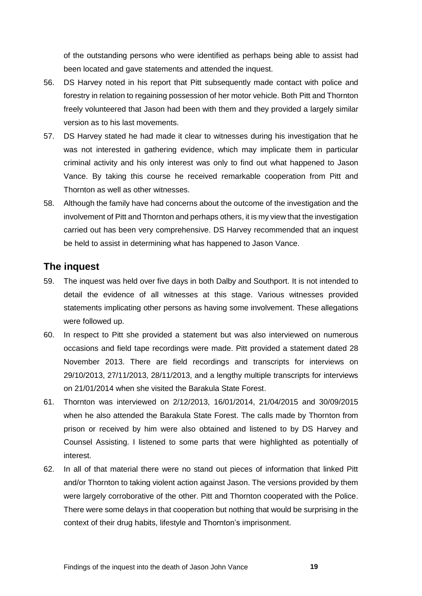of the outstanding persons who were identified as perhaps being able to assist had been located and gave statements and attended the inquest.

- 56. DS Harvey noted in his report that Pitt subsequently made contact with police and forestry in relation to regaining possession of her motor vehicle. Both Pitt and Thornton freely volunteered that Jason had been with them and they provided a largely similar version as to his last movements.
- 57. DS Harvey stated he had made it clear to witnesses during his investigation that he was not interested in gathering evidence, which may implicate them in particular criminal activity and his only interest was only to find out what happened to Jason Vance. By taking this course he received remarkable cooperation from Pitt and Thornton as well as other witnesses.
- 58. Although the family have had concerns about the outcome of the investigation and the involvement of Pitt and Thornton and perhaps others, it is my view that the investigation carried out has been very comprehensive. DS Harvey recommended that an inquest be held to assist in determining what has happened to Jason Vance.

## <span id="page-11-0"></span>**The inquest**

- 59. The inquest was held over five days in both Dalby and Southport. It is not intended to detail the evidence of all witnesses at this stage. Various witnesses provided statements implicating other persons as having some involvement. These allegations were followed up.
- 60. In respect to Pitt she provided a statement but was also interviewed on numerous occasions and field tape recordings were made. Pitt provided a statement dated 28 November 2013. There are field recordings and transcripts for interviews on 29/10/2013, 27/11/2013, 28/11/2013, and a lengthy multiple transcripts for interviews on 21/01/2014 when she visited the Barakula State Forest.
- 61. Thornton was interviewed on 2/12/2013, 16/01/2014, 21/04/2015 and 30/09/2015 when he also attended the Barakula State Forest. The calls made by Thornton from prison or received by him were also obtained and listened to by DS Harvey and Counsel Assisting. I listened to some parts that were highlighted as potentially of interest.
- 62. In all of that material there were no stand out pieces of information that linked Pitt and/or Thornton to taking violent action against Jason. The versions provided by them were largely corroborative of the other. Pitt and Thornton cooperated with the Police. There were some delays in that cooperation but nothing that would be surprising in the context of their drug habits, lifestyle and Thornton's imprisonment.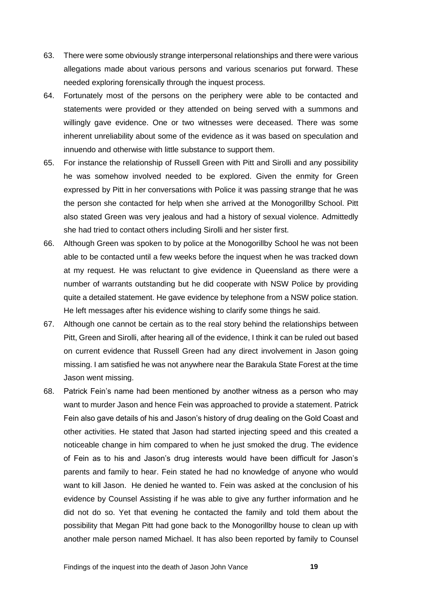- 63. There were some obviously strange interpersonal relationships and there were various allegations made about various persons and various scenarios put forward. These needed exploring forensically through the inquest process.
- 64. Fortunately most of the persons on the periphery were able to be contacted and statements were provided or they attended on being served with a summons and willingly gave evidence. One or two witnesses were deceased. There was some inherent unreliability about some of the evidence as it was based on speculation and innuendo and otherwise with little substance to support them.
- 65. For instance the relationship of Russell Green with Pitt and Sirolli and any possibility he was somehow involved needed to be explored. Given the enmity for Green expressed by Pitt in her conversations with Police it was passing strange that he was the person she contacted for help when she arrived at the Monogorillby School. Pitt also stated Green was very jealous and had a history of sexual violence. Admittedly she had tried to contact others including Sirolli and her sister first.
- 66. Although Green was spoken to by police at the Monogorillby School he was not been able to be contacted until a few weeks before the inquest when he was tracked down at my request. He was reluctant to give evidence in Queensland as there were a number of warrants outstanding but he did cooperate with NSW Police by providing quite a detailed statement. He gave evidence by telephone from a NSW police station. He left messages after his evidence wishing to clarify some things he said.
- 67. Although one cannot be certain as to the real story behind the relationships between Pitt, Green and Sirolli, after hearing all of the evidence, I think it can be ruled out based on current evidence that Russell Green had any direct involvement in Jason going missing. I am satisfied he was not anywhere near the Barakula State Forest at the time Jason went missing.
- 68. Patrick Fein's name had been mentioned by another witness as a person who may want to murder Jason and hence Fein was approached to provide a statement. Patrick Fein also gave details of his and Jason's history of drug dealing on the Gold Coast and other activities. He stated that Jason had started injecting speed and this created a noticeable change in him compared to when he just smoked the drug. The evidence of Fein as to his and Jason's drug interests would have been difficult for Jason's parents and family to hear. Fein stated he had no knowledge of anyone who would want to kill Jason. He denied he wanted to. Fein was asked at the conclusion of his evidence by Counsel Assisting if he was able to give any further information and he did not do so. Yet that evening he contacted the family and told them about the possibility that Megan Pitt had gone back to the Monogorillby house to clean up with another male person named Michael. It has also been reported by family to Counsel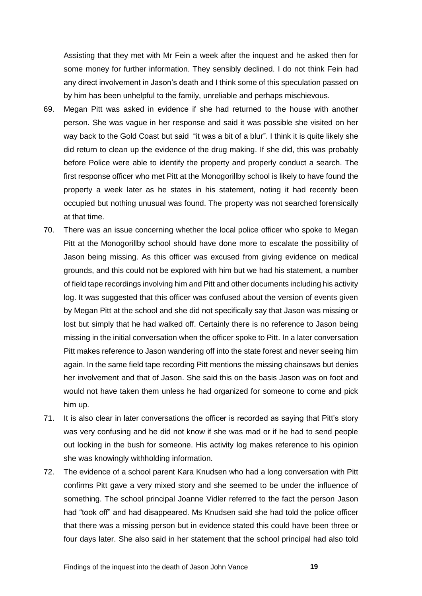Assisting that they met with Mr Fein a week after the inquest and he asked then for some money for further information. They sensibly declined. I do not think Fein had any direct involvement in Jason's death and I think some of this speculation passed on by him has been unhelpful to the family, unreliable and perhaps mischievous.

- 69. Megan Pitt was asked in evidence if she had returned to the house with another person. She was vague in her response and said it was possible she visited on her way back to the Gold Coast but said "it was a bit of a blur". I think it is quite likely she did return to clean up the evidence of the drug making. If she did, this was probably before Police were able to identify the property and properly conduct a search. The first response officer who met Pitt at the Monogorillby school is likely to have found the property a week later as he states in his statement, noting it had recently been occupied but nothing unusual was found. The property was not searched forensically at that time.
- 70. There was an issue concerning whether the local police officer who spoke to Megan Pitt at the Monogorillby school should have done more to escalate the possibility of Jason being missing. As this officer was excused from giving evidence on medical grounds, and this could not be explored with him but we had his statement, a number of field tape recordings involving him and Pitt and other documents including his activity log. It was suggested that this officer was confused about the version of events given by Megan Pitt at the school and she did not specifically say that Jason was missing or lost but simply that he had walked off. Certainly there is no reference to Jason being missing in the initial conversation when the officer spoke to Pitt. In a later conversation Pitt makes reference to Jason wandering off into the state forest and never seeing him again. In the same field tape recording Pitt mentions the missing chainsaws but denies her involvement and that of Jason. She said this on the basis Jason was on foot and would not have taken them unless he had organized for someone to come and pick him up.
- 71. It is also clear in later conversations the officer is recorded as saying that Pitt's story was very confusing and he did not know if she was mad or if he had to send people out looking in the bush for someone. His activity log makes reference to his opinion she was knowingly withholding information.
- 72. The evidence of a school parent Kara Knudsen who had a long conversation with Pitt confirms Pitt gave a very mixed story and she seemed to be under the influence of something. The school principal Joanne Vidler referred to the fact the person Jason had "took off" and had disappeared. Ms Knudsen said she had told the police officer that there was a missing person but in evidence stated this could have been three or four days later. She also said in her statement that the school principal had also told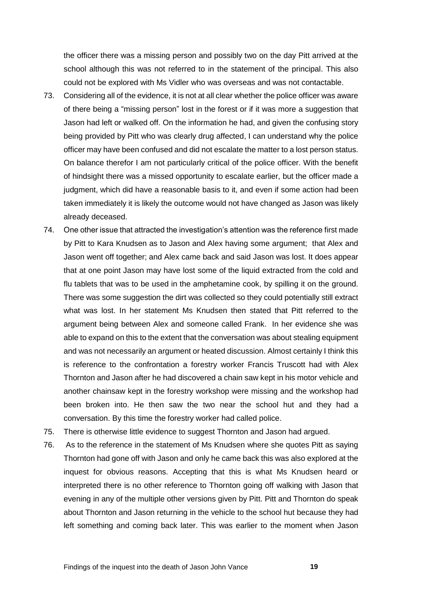the officer there was a missing person and possibly two on the day Pitt arrived at the school although this was not referred to in the statement of the principal. This also could not be explored with Ms Vidler who was overseas and was not contactable.

- 73. Considering all of the evidence, it is not at all clear whether the police officer was aware of there being a "missing person" lost in the forest or if it was more a suggestion that Jason had left or walked off. On the information he had, and given the confusing story being provided by Pitt who was clearly drug affected, I can understand why the police officer may have been confused and did not escalate the matter to a lost person status. On balance therefor I am not particularly critical of the police officer. With the benefit of hindsight there was a missed opportunity to escalate earlier, but the officer made a judgment, which did have a reasonable basis to it, and even if some action had been taken immediately it is likely the outcome would not have changed as Jason was likely already deceased.
- 74. One other issue that attracted the investigation's attention was the reference first made by Pitt to Kara Knudsen as to Jason and Alex having some argument; that Alex and Jason went off together; and Alex came back and said Jason was lost. It does appear that at one point Jason may have lost some of the liquid extracted from the cold and flu tablets that was to be used in the amphetamine cook, by spilling it on the ground. There was some suggestion the dirt was collected so they could potentially still extract what was lost. In her statement Ms Knudsen then stated that Pitt referred to the argument being between Alex and someone called Frank. In her evidence she was able to expand on this to the extent that the conversation was about stealing equipment and was not necessarily an argument or heated discussion. Almost certainly I think this is reference to the confrontation a forestry worker Francis Truscott had with Alex Thornton and Jason after he had discovered a chain saw kept in his motor vehicle and another chainsaw kept in the forestry workshop were missing and the workshop had been broken into. He then saw the two near the school hut and they had a conversation. By this time the forestry worker had called police.
- 75. There is otherwise little evidence to suggest Thornton and Jason had argued.
- 76. As to the reference in the statement of Ms Knudsen where she quotes Pitt as saying Thornton had gone off with Jason and only he came back this was also explored at the inquest for obvious reasons. Accepting that this is what Ms Knudsen heard or interpreted there is no other reference to Thornton going off walking with Jason that evening in any of the multiple other versions given by Pitt. Pitt and Thornton do speak about Thornton and Jason returning in the vehicle to the school hut because they had left something and coming back later. This was earlier to the moment when Jason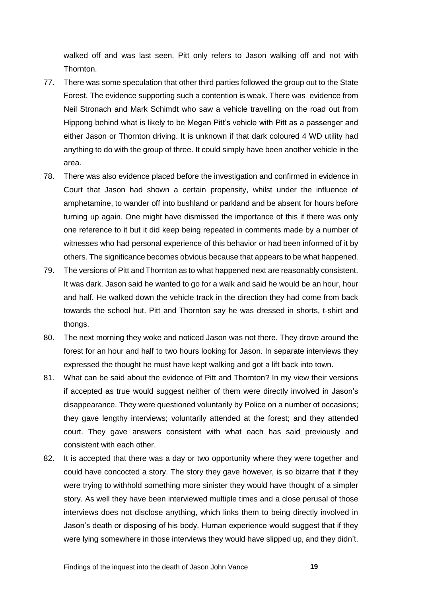walked off and was last seen. Pitt only refers to Jason walking off and not with Thornton.

- 77. There was some speculation that other third parties followed the group out to the State Forest. The evidence supporting such a contention is weak. There was evidence from Neil Stronach and Mark Schimdt who saw a vehicle travelling on the road out from Hippong behind what is likely to be Megan Pitt's vehicle with Pitt as a passenger and either Jason or Thornton driving. It is unknown if that dark coloured 4 WD utility had anything to do with the group of three. It could simply have been another vehicle in the area.
- 78. There was also evidence placed before the investigation and confirmed in evidence in Court that Jason had shown a certain propensity, whilst under the influence of amphetamine, to wander off into bushland or parkland and be absent for hours before turning up again. One might have dismissed the importance of this if there was only one reference to it but it did keep being repeated in comments made by a number of witnesses who had personal experience of this behavior or had been informed of it by others. The significance becomes obvious because that appears to be what happened.
- 79. The versions of Pitt and Thornton as to what happened next are reasonably consistent. It was dark. Jason said he wanted to go for a walk and said he would be an hour, hour and half. He walked down the vehicle track in the direction they had come from back towards the school hut. Pitt and Thornton say he was dressed in shorts, t-shirt and thongs.
- 80. The next morning they woke and noticed Jason was not there. They drove around the forest for an hour and half to two hours looking for Jason. In separate interviews they expressed the thought he must have kept walking and got a lift back into town.
- 81. What can be said about the evidence of Pitt and Thornton? In my view their versions if accepted as true would suggest neither of them were directly involved in Jason's disappearance. They were questioned voluntarily by Police on a number of occasions; they gave lengthy interviews; voluntarily attended at the forest; and they attended court. They gave answers consistent with what each has said previously and consistent with each other.
- 82. It is accepted that there was a day or two opportunity where they were together and could have concocted a story. The story they gave however, is so bizarre that if they were trying to withhold something more sinister they would have thought of a simpler story. As well they have been interviewed multiple times and a close perusal of those interviews does not disclose anything, which links them to being directly involved in Jason's death or disposing of his body. Human experience would suggest that if they were lying somewhere in those interviews they would have slipped up, and they didn't.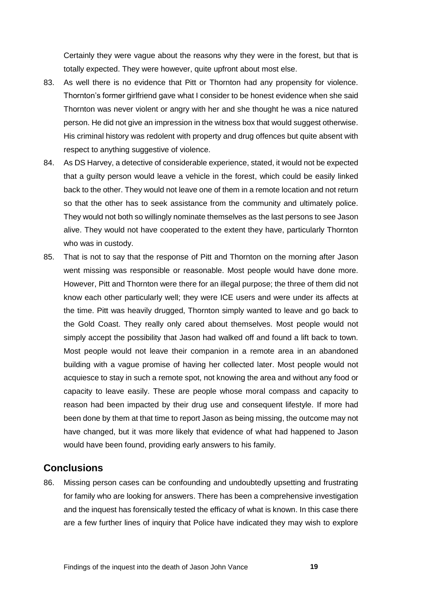Certainly they were vague about the reasons why they were in the forest, but that is totally expected. They were however, quite upfront about most else.

- 83. As well there is no evidence that Pitt or Thornton had any propensity for violence. Thornton's former girlfriend gave what I consider to be honest evidence when she said Thornton was never violent or angry with her and she thought he was a nice natured person. He did not give an impression in the witness box that would suggest otherwise. His criminal history was redolent with property and drug offences but quite absent with respect to anything suggestive of violence.
- 84. As DS Harvey, a detective of considerable experience, stated, it would not be expected that a guilty person would leave a vehicle in the forest, which could be easily linked back to the other. They would not leave one of them in a remote location and not return so that the other has to seek assistance from the community and ultimately police. They would not both so willingly nominate themselves as the last persons to see Jason alive. They would not have cooperated to the extent they have, particularly Thornton who was in custody.
- 85. That is not to say that the response of Pitt and Thornton on the morning after Jason went missing was responsible or reasonable. Most people would have done more. However, Pitt and Thornton were there for an illegal purpose; the three of them did not know each other particularly well; they were ICE users and were under its affects at the time. Pitt was heavily drugged, Thornton simply wanted to leave and go back to the Gold Coast. They really only cared about themselves. Most people would not simply accept the possibility that Jason had walked off and found a lift back to town. Most people would not leave their companion in a remote area in an abandoned building with a vague promise of having her collected later. Most people would not acquiesce to stay in such a remote spot, not knowing the area and without any food or capacity to leave easily. These are people whose moral compass and capacity to reason had been impacted by their drug use and consequent lifestyle. If more had been done by them at that time to report Jason as being missing, the outcome may not have changed, but it was more likely that evidence of what had happened to Jason would have been found, providing early answers to his family.

### <span id="page-16-0"></span>**Conclusions**

86. Missing person cases can be confounding and undoubtedly upsetting and frustrating for family who are looking for answers. There has been a comprehensive investigation and the inquest has forensically tested the efficacy of what is known. In this case there are a few further lines of inquiry that Police have indicated they may wish to explore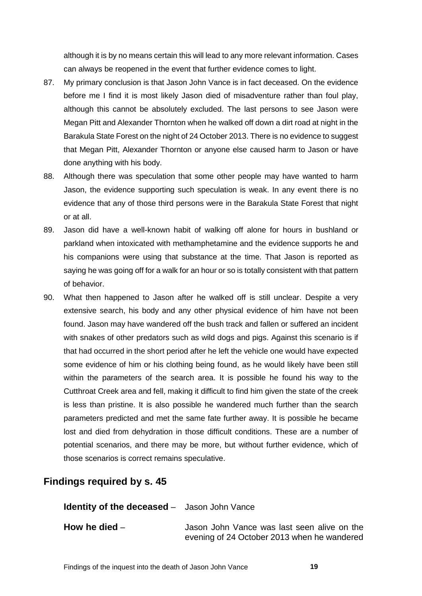although it is by no means certain this will lead to any more relevant information. Cases can always be reopened in the event that further evidence comes to light.

- 87. My primary conclusion is that Jason John Vance is in fact deceased. On the evidence before me I find it is most likely Jason died of misadventure rather than foul play, although this cannot be absolutely excluded. The last persons to see Jason were Megan Pitt and Alexander Thornton when he walked off down a dirt road at night in the Barakula State Forest on the night of 24 October 2013. There is no evidence to suggest that Megan Pitt, Alexander Thornton or anyone else caused harm to Jason or have done anything with his body.
- 88. Although there was speculation that some other people may have wanted to harm Jason, the evidence supporting such speculation is weak. In any event there is no evidence that any of those third persons were in the Barakula State Forest that night or at all.
- 89. Jason did have a well-known habit of walking off alone for hours in bushland or parkland when intoxicated with methamphetamine and the evidence supports he and his companions were using that substance at the time. That Jason is reported as saying he was going off for a walk for an hour or so is totally consistent with that pattern of behavior.
- 90. What then happened to Jason after he walked off is still unclear. Despite a very extensive search, his body and any other physical evidence of him have not been found. Jason may have wandered off the bush track and fallen or suffered an incident with snakes of other predators such as wild dogs and pigs. Against this scenario is if that had occurred in the short period after he left the vehicle one would have expected some evidence of him or his clothing being found, as he would likely have been still within the parameters of the search area. It is possible he found his way to the Cutthroat Creek area and fell, making it difficult to find him given the state of the creek is less than pristine. It is also possible he wandered much further than the search parameters predicted and met the same fate further away. It is possible he became lost and died from dehydration in those difficult conditions. These are a number of potential scenarios, and there may be more, but without further evidence, which of those scenarios is correct remains speculative.

## <span id="page-17-0"></span>**Findings required by s. 45**

<span id="page-17-1"></span>**Identity of the deceased** – Jason John Vance

<span id="page-17-2"></span>**How he died** – **Jason John Vance was last seen alive on the** evening of 24 October 2013 when he wandered